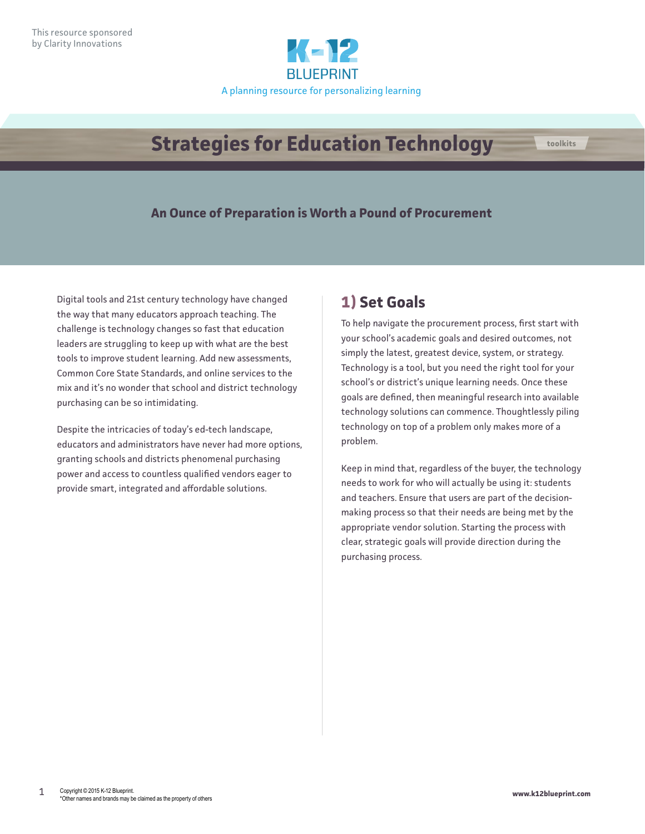

# **Strategies for Education Technology**

#### **An Ounce of Preparation is Worth a Pound of Procurement**

Digital tools and 21st century technology have changed the way that many educators approach teaching. The challenge is technology changes so fast that education leaders are struggling to keep up with what are the best tools to improve student learning. Add new assessments, Common Core State Standards, and online services to the mix and it's no wonder that school and district technology purchasing can be so intimidating.

Despite the intricacies of today's ed-tech landscape, educators and administrators have never had more options, granting schools and districts phenomenal purchasing power and access to countless qualified vendors eager to provide smart, integrated and affordable solutions.

#### **1) Set Goals**

To help navigate the procurement process, first start with your school's academic goals and desired outcomes, not simply the latest, greatest device, system, or strategy. Technology is a tool, but you need the right tool for your school's or district's unique learning needs. Once these goals are defined, then meaningful research into available technology solutions can commence. Thoughtlessly piling technology on top of a problem only makes more of a problem.

Keep in mind that, regardless of the buyer, the technology needs to work for who will actually be using it: students and teachers. Ensure that users are part of the decisionmaking process so that their needs are being met by the appropriate vendor solution. Starting the process with clear, strategic goals will provide direction during the purchasing process.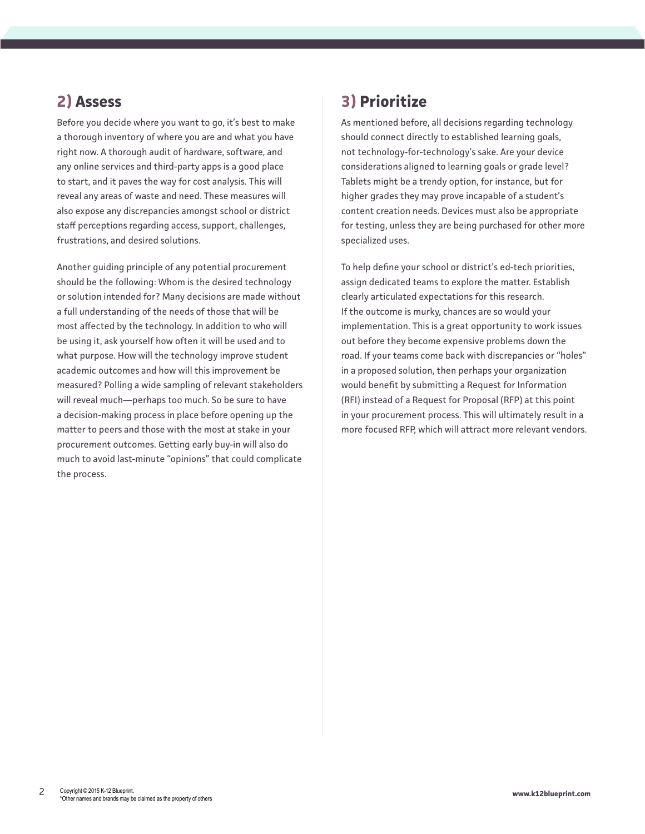#### **2) Assess**

Before you decide where you want to go, it's best to make a thorough inventory of where you are and what you have right now. A thorough audit of hardware, software, and any online services and third-party apps is a good place to start, and it paves the way for cost analysis. This will reveal any areas of waste and need. These measures will also expose any discrepancies amongst school or district staff perceptions regarding access, support, challenges, frustrations, and desired solutions.

Another guiding principle of any potential procurement should be the following: Whom is the desired technology or solution intended for? Many decisions are made without a full understanding of the needs of those that will be most affected by the technology. In addition to who will be using it, ask yourself how often it will be used and to what purpose. How will the technology improve student academic outcomes and how will this improvement be measured? Polling a wide sampling of relevant stakeholders will reveal much—perhaps too much. So be sure to have a decision-making process in place before opening up the matter to peers and those with the most at stake in your procurement outcomes. Getting early buy-in will also do much to avoid last-minute "opinions" that could complicate the process.

### **3) Prioritize**

As mentioned before, all decisions regarding technology should connect directly to established learning goals, not technology-for-technology's sake. Are your device considerations aligned to learning goals or grade level? Tablets might be a trendy option, for instance, but for higher grades they may prove incapable of a student's content creation needs. Devices must also be appropriate for testing, unless they are being purchased for other more specialized uses.

To help define your school or district's ed-tech priorities, assign dedicated teams to explore the matter. Establish clearly articulated expectations for this research. If the outcome is murky, chances are so would your implementation. This is a great opportunity to work issues out before they become expensive problems down the road. If your teams come back with discrepancies or "holes" in a proposed solution, then perhaps your organization would benefit by submitting a Request for Information (RFI) instead of a Request for Proposal (RFP) at this point in your procurement process. This will ultimately result in a more focused RFP, which will attract more relevant vendors.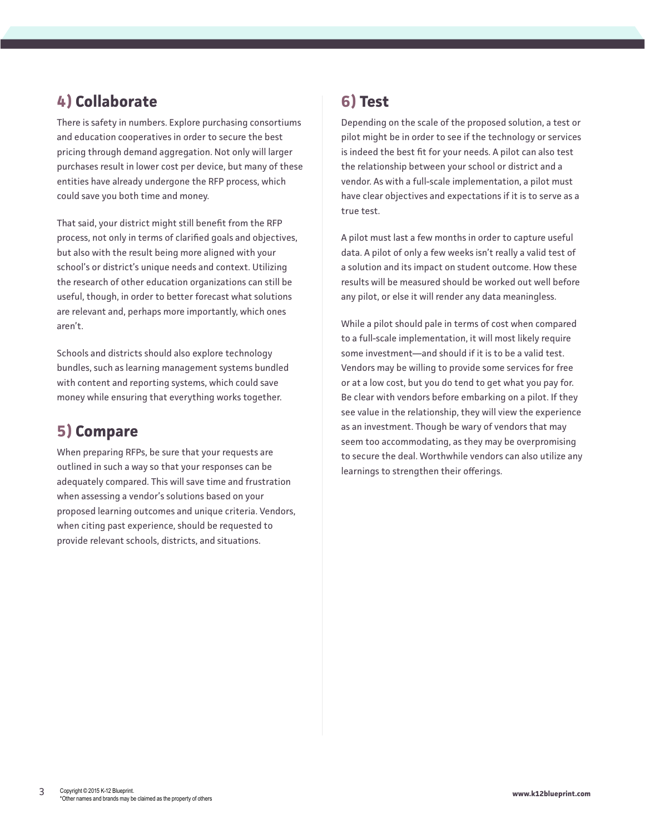### **4) Collaborate**

There is safety in numbers. Explore purchasing consortiums and education cooperatives in order to secure the best pricing through demand aggregation. Not only will larger purchases result in lower cost per device, but many of these entities have already undergone the RFP process, which could save you both time and money.

That said, your district might still benefit from the RFP process, not only in terms of clarified goals and objectives, but also with the result being more aligned with your school's or district's unique needs and context. Utilizing the research of other education organizations can still be useful, though, in order to better forecast what solutions are relevant and, perhaps more importantly, which ones aren't.

Schools and districts should also explore technology bundles, such as learning management systems bundled with content and reporting systems, which could save money while ensuring that everything works together.

### **5) Compare**

When preparing RFPs, be sure that your requests are outlined in such a way so that your responses can be adequately compared. This will save time and frustration when assessing a vendor's solutions based on your proposed learning outcomes and unique criteria. Vendors, when citing past experience, should be requested to provide relevant schools, districts, and situations.

### **6) Test**

Depending on the scale of the proposed solution, a test or pilot might be in order to see if the technology or services is indeed the best fit for your needs. A pilot can also test the relationship between your school or district and a vendor. As with a full-scale implementation, a pilot must have clear objectives and expectations if it is to serve as a true test.

A pilot must last a few months in order to capture useful data. A pilot of only a few weeks isn't really a valid test of a solution and its impact on student outcome. How these results will be measured should be worked out well before any pilot, or else it will render any data meaningless.

While a pilot should pale in terms of cost when compared to a full-scale implementation, it will most likely require some investment—and should if it is to be a valid test. Vendors may be willing to provide some services for free or at a low cost, but you do tend to get what you pay for. Be clear with vendors before embarking on a pilot. If they see value in the relationship, they will view the experience as an investment. Though be wary of vendors that may seem too accommodating, as they may be overpromising to secure the deal. Worthwhile vendors can also utilize any learnings to strengthen their offerings.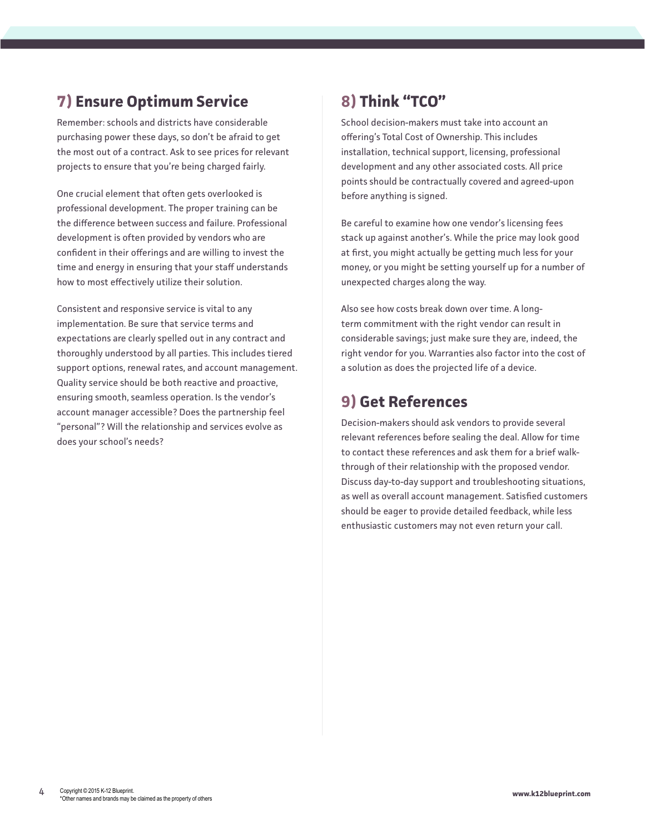# **7) Ensure Optimum Service**

Remember: schools and districts have considerable purchasing power these days, so don't be afraid to get the most out of a contract. Ask to see prices for relevant projects to ensure that you're being charged fairly.

One crucial element that often gets overlooked is professional development. The proper training can be the difference between success and failure. Professional development is often provided by vendors who are confident in their offerings and are willing to invest the time and energy in ensuring that your staff understands how to most effectively utilize their solution.

Consistent and responsive service is vital to any implementation. Be sure that service terms and expectations are clearly spelled out in any contract and thoroughly understood by all parties. This includes tiered support options, renewal rates, and account management. Quality service should be both reactive and proactive, ensuring smooth, seamless operation. Is the vendor's account manager accessible? Does the partnership feel "personal"? Will the relationship and services evolve as does your school's needs?

## **8) Think "TCO"**

School decision-makers must take into account an offering's Total Cost of Ownership. This includes installation, technical support, licensing, professional development and any other associated costs. All price points should be contractually covered and agreed-upon before anything is signed.

Be careful to examine how one vendor's licensing fees stack up against another's. While the price may look good at first, you might actually be getting much less for your money, or you might be setting yourself up for a number of unexpected charges along the way.

Also see how costs break down over time. A longterm commitment with the right vendor can result in considerable savings; just make sure they are, indeed, the right vendor for you. Warranties also factor into the cost of a solution as does the projected life of a device.

### **9) Get References**

Decision-makers should ask vendors to provide several relevant references before sealing the deal. Allow for time to contact these references and ask them for a brief walkthrough of their relationship with the proposed vendor. Discuss day-to-day support and troubleshooting situations, as well as overall account management. Satisfied customers should be eager to provide detailed feedback, while less enthusiastic customers may not even return your call.